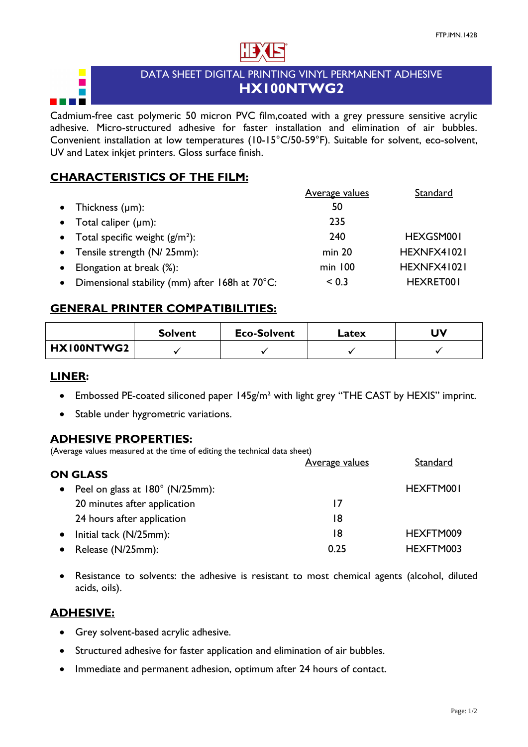

# DATA SHEET DIGITAL PRINTING VINYL PERMANENT ADHESIVE **HX100NTWG2**

Cadmium-free cast polymeric 50 micron PVC film,coated with a grey pressure sensitive acrylic adhesive. Micro-structured adhesive for faster installation and elimination of air bubbles. Convenient installation at low temperatures (10-15°C/50-59°F). Suitable for solvent, eco-solvent, UV and Latex inkjet printers. Gloss surface finish.

## **CHARACTERISTICS OF THE FILM:**

|                                                             | <b>Average values</b> | Standard    |
|-------------------------------------------------------------|-----------------------|-------------|
| Thickness $(\mu m)$ :<br>$\bullet$                          | 50                    |             |
| • Total caliper $(\mu m)$ :                                 | 235                   |             |
| • Total specific weight $(g/m^2)$ :                         | 240                   | HEXGSM001   |
| • Tensile strength (N/ 25mm):                               | min 20                | HEXNFX41021 |
| Elongation at break (%):                                    | $min$ 100             | HEXNFX41021 |
| Dimensional stability (mm) after 168h at 70°C:<br>$\bullet$ | < 0.3                 | HEXRET001   |

## **GENERAL PRINTER COMPATIBILITIES:**

|            | <b>Solvent</b> | <b>Eco-Solvent</b> | Latex | J۷ |
|------------|----------------|--------------------|-------|----|
| HX100NTWG2 |                |                    |       |    |

#### **LINER:**

- Embossed PE-coated siliconed paper 145g/m<sup>2</sup> with light grey "THE CAST by HEXIS" imprint.
- · Stable under hygrometric variations.

## **ADHESIVE PROPERTIES:**

(Average values measured at the time of editing the technical data sheet)

|                                              | <u>Average values</u> | Standard  |
|----------------------------------------------|-----------------------|-----------|
| <b>ON GLASS</b>                              |                       |           |
| Peel on glass at 180° (N/25mm):<br>$\bullet$ |                       | HEXFTM001 |
| 20 minutes after application                 | 17                    |           |
| 24 hours after application                   | 18                    |           |
| Initial tack (N/25mm):                       | 18                    | HEXFTM009 |
| Release (N/25mm):                            | 0.25                  | HEXFTM003 |
|                                              |                       |           |

Resistance to solvents: the adhesive is resistant to most chemical agents (alcohol, diluted acids, oils).

## **ADHESIVE:**

- · Grey solvent-based acrylic adhesive.
- · Structured adhesive for faster application and elimination of air bubbles.
- Immediate and permanent adhesion, optimum after 24 hours of contact.